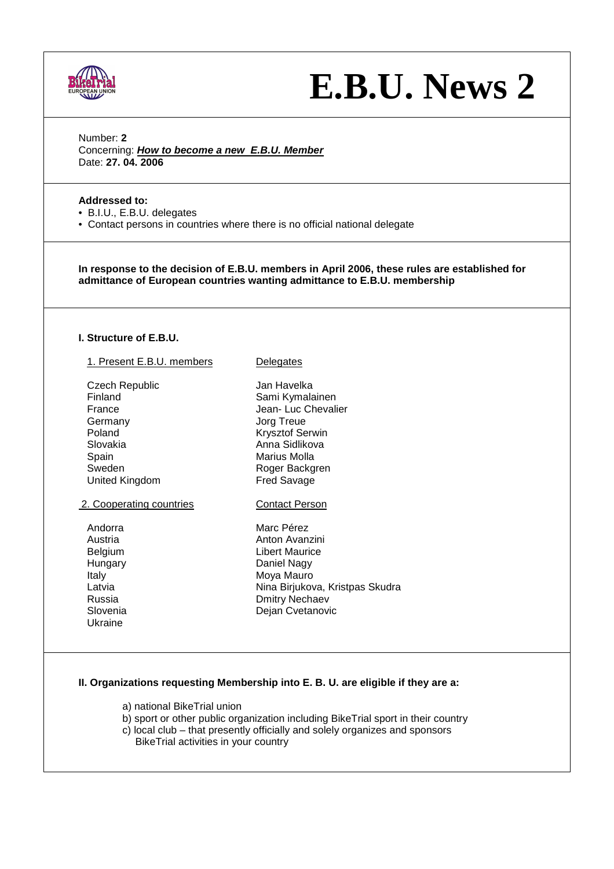

# **E.B.U. News 2**

Number: **2**  Concerning: **How to become a new E.B.U. Member** Date: **27. 04. 2006**

## **Addressed to:**

- B.I.U., E.B.U. delegates
- Contact persons in countries where there is no official national delegate

**In response to the decision of E.B.U. members in April 2006, these rules are established for admittance of European countries wanting admittance to E.B.U. membership** 

#### **I. Structure of E.B.U.**

| 1. Present E.B.U. members   | Delegates                                                                         |
|-----------------------------|-----------------------------------------------------------------------------------|
| <b>Czech Republic</b>       | Jan Havelka                                                                       |
| Finland                     | Sami Kymalainen                                                                   |
| France                      | Jean-Luc Chevalier                                                                |
| Germany                     | Jorg Treue                                                                        |
| Poland                      | Krysztof Serwin                                                                   |
| Slovakia                    | Anna Sidlikova                                                                    |
| Spain                       | Marius Molla                                                                      |
| Sweden                      | Roger Backgren                                                                    |
| United Kingdom              | <b>Fred Savage</b>                                                                |
| 2. Cooperating countries    | <b>Contact Person</b>                                                             |
| Andorra                     | Marc Pérez                                                                        |
| Austria                     | Anton Avanzini                                                                    |
| Belgium                     | Libert Maurice                                                                    |
| Hungary                     | Daniel Nagy                                                                       |
| Italy                       | Moya Mauro                                                                        |
| Latvia                      | Nina Birjukova, Kristpas Skudra                                                   |
| Russia                      | Dmitry Nechaev                                                                    |
| Slovenia                    | Dejan Cvetanovic                                                                  |
| Ukraine                     |                                                                                   |
|                             |                                                                                   |
|                             |                                                                                   |
|                             | II. Organizations requesting Membership into E. B. U. are eligible if they are a: |
|                             |                                                                                   |
| a) national BikeTrial union |                                                                                   |

 b) sport or other public organization including BikeTrial sport in their country c) local club – that presently officially and solely organizes and sponsors

BikeTrial activities in your country